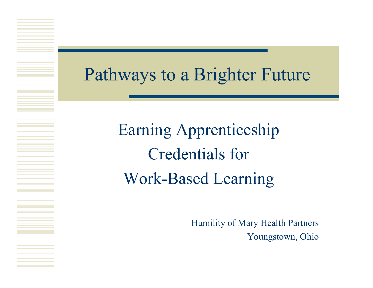#### Pathways to a Brighter Future

Earning Apprenticeship Credentials for Work-Based Learning

> Humility of Mary Health Partners Youngstown, Ohio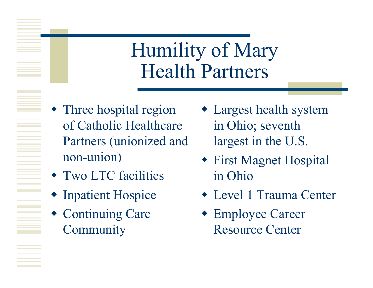### Humility of Mary Health Partners

- Three hospital region of Catholic Healthcare Partners (unionized and non-union)
- Two LTC facilities
- Inpatient Hospice
- Continuing Care **Community**
- Largest health system in Ohio; seventh largest in the U.S.
- First Magnet Hospital in Ohio
- Level 1 Trauma Center
- Employee Career Resource Center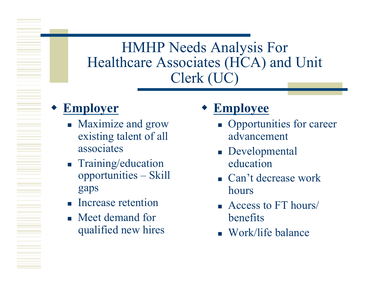#### HMHP Needs Analysis For Healthcare Associates (HCA) and Unit Clerk (UC)

#### **Employer**

- Maximize and grow existing talent of all associates
- **Training/education** opportunities – Skill gaps
- **Increase retention**
- **Neet demand for** qualified new hires

#### **Employee**

- Opportunities for career advancement
- **Developmental** education
- Can't decrease work hours
- Access to FT hours/ benefits
- Work/life balance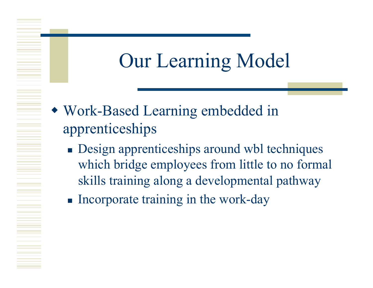# Our Learning Model

- Work-Based Learning embedded in apprenticeships
	- **Design apprenticeships around wbl techniques** which bridge employees from little to no formal skills training along a developmental pathway
	- $\blacksquare$  Incorporate training in the work-day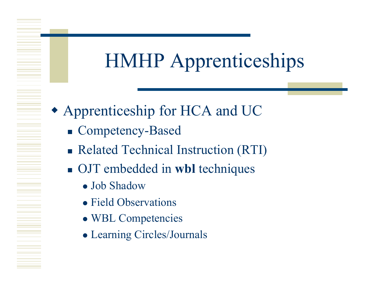## HMHP Apprenticeships

- Apprenticeship for HCA and UC
	- Competency-Based
	- **Related Technical Instruction (RTI)**
	- OJT embedded in **wbl** techniques
		- Job Shadow
		- Field Observations
		- WBL Competencies
		- Learning Circles/Journals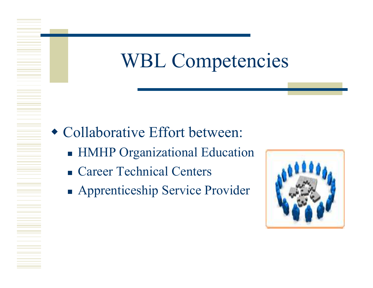### WBL Competencies

- Collaborative Effort between:
	- **HMHP** Organizational Education
	- Career Technical Centers
	- **Apprenticeship Service Provider**

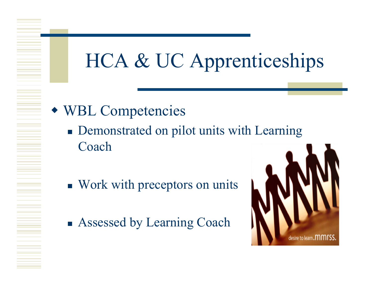## HCA & UC Apprenticeships

- WBL Competencies
	- Demonstrated on pilot units with Learning Coach
	- Work with preceptors on units
	- Assessed by Learning Coach

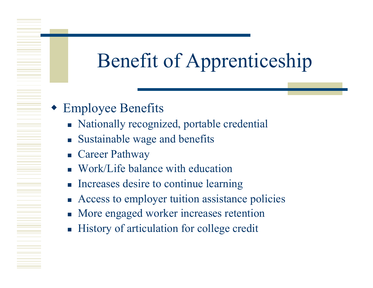## Benefit of Apprenticeship

- Employee Benefits
	- Nationally recognized, portable credential
	- **Sustainable wage and benefits**
	- Career Pathway
	- Work/Life balance with education
	- **Increases desire to continue learning**
	- Access to employer tuition assistance policies
	- More engaged worker increases retention
	- History of articulation for college credit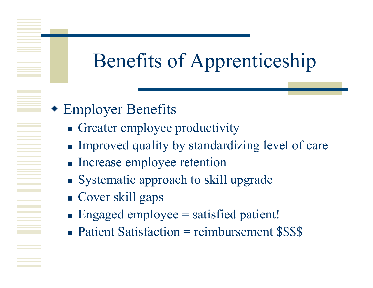# Benefits of Apprenticeship

- Employer Benefits
	- Greater employee productivity
	- Improved quality by standardizing level of care
	- **Increase employee retention**
	- Systematic approach to skill upgrade
	- Cover skill gaps
	- $\blacksquare$  Engaged employee = satisfied patient!
	- $\blacksquare$  Patient Satisfaction = reimbursement \$\$\$\$